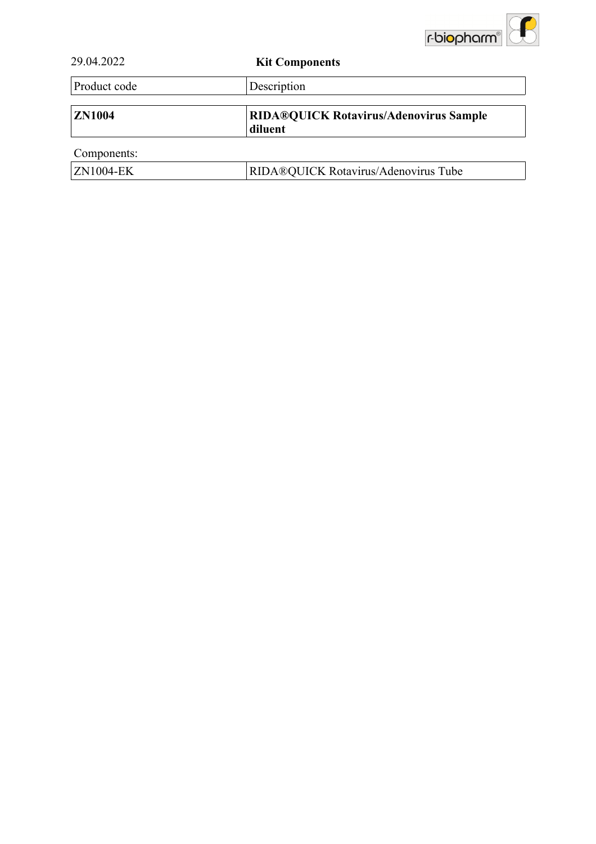

| 29.04.2022       | <b>Kit Components</b>                                    |
|------------------|----------------------------------------------------------|
| Product code     | Description                                              |
| <b>ZN1004</b>    | <b>RIDA®QUICK Rotavirus/Adenovirus Sample</b><br>diluent |
| Components:      |                                                          |
| <b>ZN1004-EK</b> | RIDA®QUICK Rotavirus/Adenovirus Tube                     |
|                  |                                                          |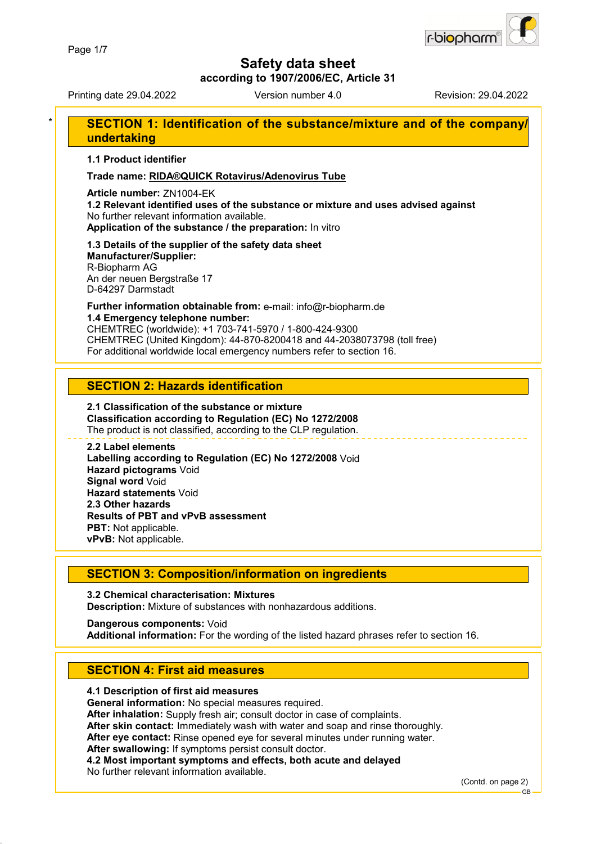

**according to 1907/2006/EC, Article 31**

Printing date 29.04.2022 Version number 4.0 Revision: 29.04.2022

## **SECTION 1: Identification of the substance/mixture and of the company/ undertaking**

**1.1 Product identifier**

**Trade name: RIDA®QUICK Rotavirus/Adenovirus Tube**

**Article number:** ZN1004-EK

**1.2 Relevant identified uses of the substance or mixture and uses advised against** No further relevant information available. **Application of the substance / the preparation:** In vitro

#### **1.3 Details of the supplier of the safety data sheet Manufacturer/Supplier:**

R-Biopharm AG An der neuen Bergstraße 17 D-64297 Darmstadt

**Further information obtainable from:** e-mail: info@r-biopharm.de **1.4 Emergency telephone number:**

CHEMTREC (worldwide): +1 703-741-5970 / 1-800-424-9300 CHEMTREC (United Kingdom): 44-870-8200418 and 44-2038073798 (toll free) For additional worldwide local emergency numbers refer to section 16.

## **SECTION 2: Hazards identification**

#### **2.1 Classification of the substance or mixture Classification according to Regulation (EC) No 1272/2008** The product is not classified, according to the CLP regulation.

**2.2 Label elements Labelling according to Regulation (EC) No 1272/2008** Void **Hazard pictograms** Void **Signal word** Void **Hazard statements** Void **2.3 Other hazards Results of PBT and vPvB assessment PBT:** Not applicable. **vPvB:** Not applicable.

## **SECTION 3: Composition/information on ingredients**

**3.2 Chemical characterisation: Mixtures Description:** Mixture of substances with nonhazardous additions.

**Dangerous components:** Void **Additional information:** For the wording of the listed hazard phrases refer to section 16.

## **SECTION 4: First aid measures**

#### **4.1 Description of first aid measures**

**General information:** No special measures required.

**After inhalation:** Supply fresh air; consult doctor in case of complaints.

**After skin contact:** Immediately wash with water and soap and rinse thoroughly.

**After eye contact:** Rinse opened eye for several minutes under running water.

**After swallowing:** If symptoms persist consult doctor.

**4.2 Most important symptoms and effects, both acute and delayed**

No further relevant information available.

(Contd. on page 2)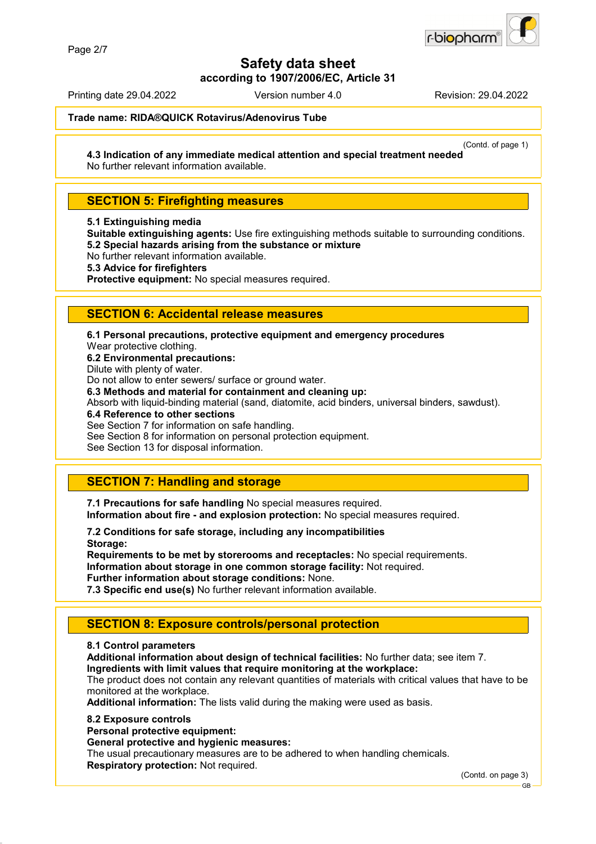

**according to 1907/2006/EC, Article 31**

Printing date 29.04.2022 Version number 4.0 Revision: 29.04.2022

**Trade name: RIDA®QUICK Rotavirus/Adenovirus Tube**

(Contd. of page 1)

**4.3 Indication of any immediate medical attention and special treatment needed** No further relevant information available.

## **SECTION 5: Firefighting measures**

**5.1 Extinguishing media**

**Suitable extinguishing agents:** Use fire extinguishing methods suitable to surrounding conditions. **5.2 Special hazards arising from the substance or mixture**

No further relevant information available.

**5.3 Advice for firefighters**

**Protective equipment:** No special measures required.

## **SECTION 6: Accidental release measures**

**6.1 Personal precautions, protective equipment and emergency procedures**

Wear protective clothing.

**6.2 Environmental precautions:**

Dilute with plenty of water.

Do not allow to enter sewers/ surface or ground water.

**6.3 Methods and material for containment and cleaning up:**

Absorb with liquid-binding material (sand, diatomite, acid binders, universal binders, sawdust).

**6.4 Reference to other sections**

See Section 7 for information on safe handling.

See Section 8 for information on personal protection equipment.

See Section 13 for disposal information.

## **SECTION 7: Handling and storage**

**7.1 Precautions for safe handling** No special measures required. **Information about fire - and explosion protection:** No special measures required.

**7.2 Conditions for safe storage, including any incompatibilities Storage:**

**Requirements to be met by storerooms and receptacles:** No special requirements. **Information about storage in one common storage facility:** Not required. **Further information about storage conditions:** None.

**7.3 Specific end use(s)** No further relevant information available.

## **SECTION 8: Exposure controls/personal protection**

#### **8.1 Control parameters**

**Additional information about design of technical facilities:** No further data; see item 7.

**Ingredients with limit values that require monitoring at the workplace:**

The product does not contain any relevant quantities of materials with critical values that have to be monitored at the workplace.

**Additional information:** The lists valid during the making were used as basis.

#### **8.2 Exposure controls**

**Personal protective equipment:**

**General protective and hygienic measures:**

The usual precautionary measures are to be adhered to when handling chemicals. **Respiratory protection:** Not required.

(Contd. on page 3)

GB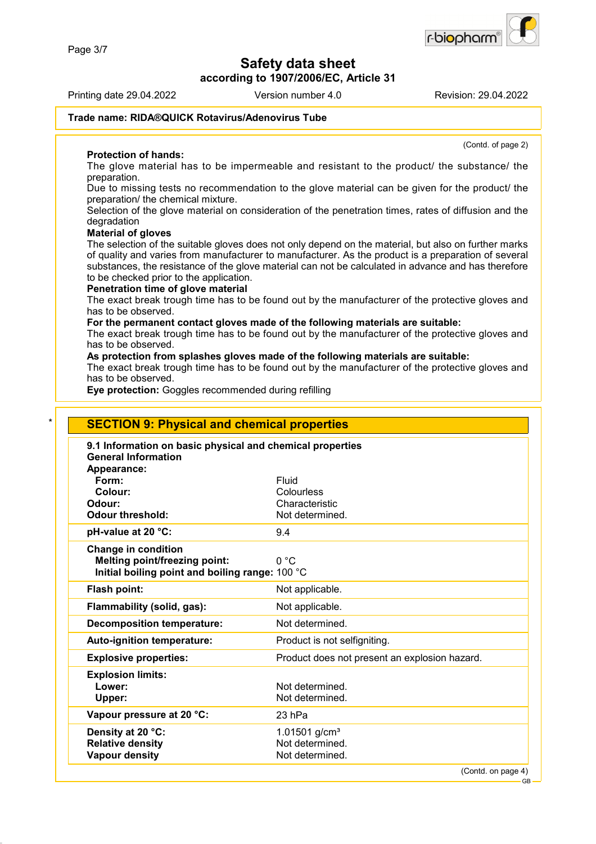**according to 1907/2006/EC, Article 31**

Printing date 29.04.2022 Version number 4.0 Revision: 29.04.2022

(Contd. of page 2)

#### **Trade name: RIDA®QUICK Rotavirus/Adenovirus Tube**

#### **Protection of hands:**

The glove material has to be impermeable and resistant to the product/ the substance/ the preparation.

Due to missing tests no recommendation to the glove material can be given for the product/ the preparation/ the chemical mixture.

Selection of the glove material on consideration of the penetration times, rates of diffusion and the degradation

#### **Material of gloves**

The selection of the suitable gloves does not only depend on the material, but also on further marks of quality and varies from manufacturer to manufacturer. As the product is a preparation of several substances, the resistance of the glove material can not be calculated in advance and has therefore to be checked prior to the application.

#### **Penetration time of glove material**

The exact break trough time has to be found out by the manufacturer of the protective gloves and has to be observed.

#### **For the permanent contact gloves made of the following materials are suitable:**

The exact break trough time has to be found out by the manufacturer of the protective gloves and has to be observed.

#### **As protection from splashes gloves made of the following materials are suitable:**

The exact break trough time has to be found out by the manufacturer of the protective gloves and has to be observed.

**Eye protection:** Goggles recommended during refilling

| 9.1 Information on basic physical and chemical properties<br><b>General Information</b> |                                               |
|-----------------------------------------------------------------------------------------|-----------------------------------------------|
| Appearance:                                                                             |                                               |
| Form:                                                                                   | Fluid                                         |
| Colour:                                                                                 | Colourless                                    |
| Odour:                                                                                  | Characteristic                                |
| <b>Odour threshold:</b>                                                                 | Not determined.                               |
| pH-value at 20 °C:                                                                      | 9.4                                           |
| <b>Change in condition</b>                                                              |                                               |
| Melting point/freezing point:                                                           | 0 °C                                          |
| Initial boiling point and boiling range: 100 °C                                         |                                               |
| Flash point:                                                                            | Not applicable.                               |
| Flammability (solid, gas):                                                              | Not applicable.                               |
| <b>Decomposition temperature:</b>                                                       | Not determined.                               |
| Auto-ignition temperature:                                                              | Product is not selfigniting.                  |
| <b>Explosive properties:</b>                                                            | Product does not present an explosion hazard. |
| <b>Explosion limits:</b>                                                                |                                               |
| Lower:                                                                                  | Not determined.                               |
| Upper:                                                                                  | Not determined.                               |
| Vapour pressure at 20 °C:                                                               | $23$ hPa                                      |
| Density at 20 °C:                                                                       | 1.01501 $g/cm3$                               |
| <b>Relative density</b>                                                                 | Not determined.                               |

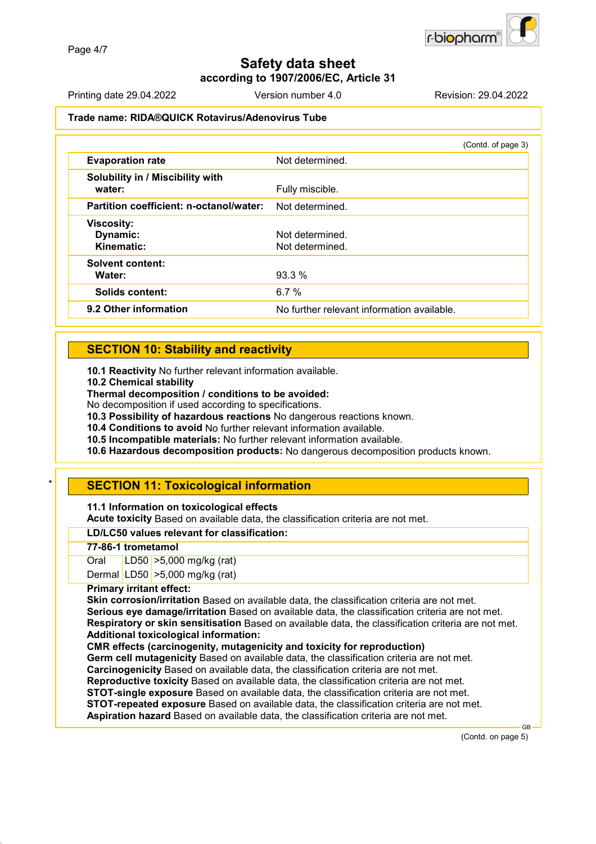

**according to 1907/2006/EC, Article 31**

Printing date 29.04.2022 Version number 4.0 Revision: 29.04.2022

#### **Trade name: RIDA®QUICK Rotavirus/Adenovirus Tube**

|                                             | (Contd. of page 3)                         |
|---------------------------------------------|--------------------------------------------|
| <b>Evaporation rate</b>                     | Not determined.                            |
| Solubility in / Miscibility with<br>water:  | Fully miscible.                            |
| Partition coefficient: n-octanol/water:     | Not determined.                            |
| <b>Viscosity:</b><br>Dynamic:<br>Kinematic: | Not determined.<br>Not determined.         |
| <b>Solvent content:</b><br>Water:           | $93.3\%$                                   |
| <b>Solids content:</b>                      | 6.7 $%$                                    |
| 9.2 Other information                       | No further relevant information available. |

## **SECTION 10: Stability and reactivity**

**10.1 Reactivity** No further relevant information available.

**10.2 Chemical stability**

**Thermal decomposition / conditions to be avoided:**

No decomposition if used according to specifications.

**10.3 Possibility of hazardous reactions** No dangerous reactions known.

**10.4 Conditions to avoid** No further relevant information available.

**10.5 Incompatible materials:** No further relevant information available.

**10.6 Hazardous decomposition products:** No dangerous decomposition products known.

## **SECTION 11: Toxicological information**

**11.1 Information on toxicological effects**

**Acute toxicity** Based on available data, the classification criteria are not met.

#### **LD/LC50 values relevant for classification:**

#### **77-86-1 trometamol**

Oral LD50 >5,000 mg/kg (rat) Dermal LD50 >5,000 mg/kg (rat)

#### **Primary irritant effect:**

**Skin corrosion/irritation** Based on available data, the classification criteria are not met. **Serious eye damage/irritation** Based on available data, the classification criteria are not met. **Respiratory or skin sensitisation** Based on available data, the classification criteria are not met. **Additional toxicological information:**

**CMR effects (carcinogenity, mutagenicity and toxicity for reproduction) Germ cell mutagenicity** Based on available data, the classification criteria are not met.

**Carcinogenicity** Based on available data, the classification criteria are not met.

**Reproductive toxicity** Based on available data, the classification criteria are not met.

**STOT-single exposure** Based on available data, the classification criteria are not met.

**STOT-repeated exposure** Based on available data, the classification criteria are not met.

**Aspiration hazard** Based on available data, the classification criteria are not met.

(Contd. on page 5)

GB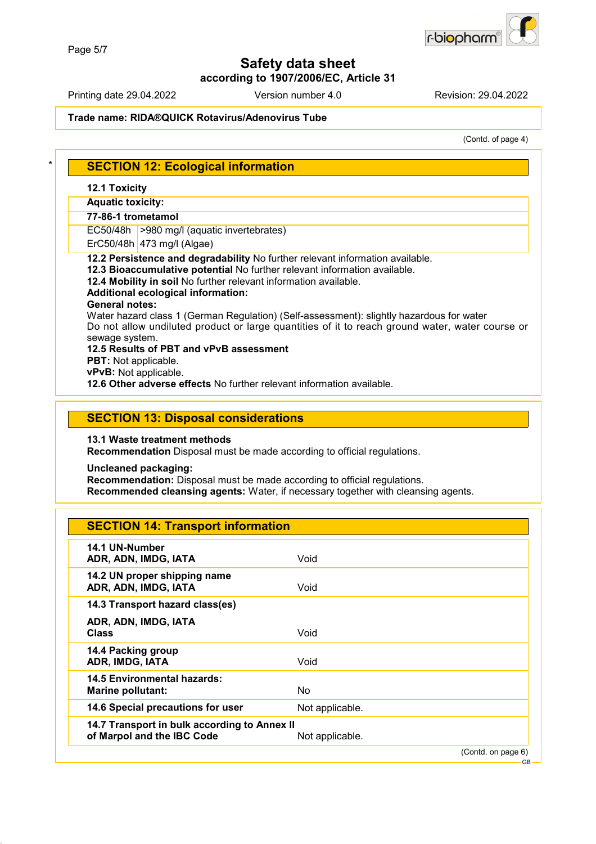

#### **according to 1907/2006/EC, Article 31**

Printing date 29.04.2022 Version number 4.0 Revision: 29.04.2022

## **Trade name: RIDA®QUICK Rotavirus/Adenovirus Tube**

(Contd. of page 4)

| <b>SECTION 12: Ecological information</b>                                                                                                                  |                                                                                                                                                                                             |  |
|------------------------------------------------------------------------------------------------------------------------------------------------------------|---------------------------------------------------------------------------------------------------------------------------------------------------------------------------------------------|--|
| <b>12.1 Toxicity</b>                                                                                                                                       |                                                                                                                                                                                             |  |
| <b>Aquatic toxicity:</b>                                                                                                                                   |                                                                                                                                                                                             |  |
| 77-86-1 trometamol                                                                                                                                         |                                                                                                                                                                                             |  |
| EC50/48h >980 mg/l (aquatic invertebrates)                                                                                                                 |                                                                                                                                                                                             |  |
| ErC50/48h 473 mg/l (Algae)                                                                                                                                 |                                                                                                                                                                                             |  |
| 12.2 Persistence and degradability No further relevant information available.<br>12.3 Bioaccumulative potential No further relevant information available. |                                                                                                                                                                                             |  |
| 12.4 Mobility in soil No further relevant information available.                                                                                           |                                                                                                                                                                                             |  |
| <b>Additional ecological information:</b>                                                                                                                  |                                                                                                                                                                                             |  |
| <b>General notes:</b>                                                                                                                                      |                                                                                                                                                                                             |  |
|                                                                                                                                                            | Water hazard class 1 (German Regulation) (Self-assessment): slightly hazardous for water<br>Do not allow undiluted product or large quantities of it to reach ground water, water course or |  |
| sewage system.                                                                                                                                             |                                                                                                                                                                                             |  |
| 12.5 Results of PBT and vPvB assessment                                                                                                                    |                                                                                                                                                                                             |  |
| PBT: Not applicable.<br>vPvB: Not applicable.                                                                                                              |                                                                                                                                                                                             |  |
| 12.6 Other adverse effects No further relevant information available.                                                                                      |                                                                                                                                                                                             |  |
|                                                                                                                                                            |                                                                                                                                                                                             |  |
| <b>SECTION 13: Disposal considerations</b><br>13.1 Waste treatment methods<br>Recommendation Disposal must be made according to official regulations.      |                                                                                                                                                                                             |  |
| <b>Uncleaned packaging:</b><br>Recommendation: Disposal must be made according to official regulations.                                                    | Recommended cleansing agents: Water, if necessary together with cleansing agents.                                                                                                           |  |
| <b>SECTION 14: Transport information</b>                                                                                                                   |                                                                                                                                                                                             |  |
| 14.1 UN-Number                                                                                                                                             | Void                                                                                                                                                                                        |  |
| ADR, ADN, IMDG, IATA<br>14.2 UN proper shipping name                                                                                                       |                                                                                                                                                                                             |  |
| ADR, ADN, IMDG, IATA                                                                                                                                       | Void                                                                                                                                                                                        |  |
| 14.3 Transport hazard class(es)                                                                                                                            |                                                                                                                                                                                             |  |
| ADR, ADN, IMDG, IATA                                                                                                                                       |                                                                                                                                                                                             |  |
| <b>Class</b>                                                                                                                                               | Void                                                                                                                                                                                        |  |
| 14.4 Packing group                                                                                                                                         |                                                                                                                                                                                             |  |
| ADR, IMDG, IATA                                                                                                                                            | Void                                                                                                                                                                                        |  |
| <b>14.5 Environmental hazards:</b>                                                                                                                         |                                                                                                                                                                                             |  |
| <b>Marine pollutant:</b>                                                                                                                                   | No                                                                                                                                                                                          |  |
| 14.6 Special precautions for user                                                                                                                          | Not applicable.                                                                                                                                                                             |  |
| 14.7 Transport in bulk according to Annex II                                                                                                               |                                                                                                                                                                                             |  |
| of Marpol and the IBC Code                                                                                                                                 | Not applicable.<br>(Contd. on page 6)                                                                                                                                                       |  |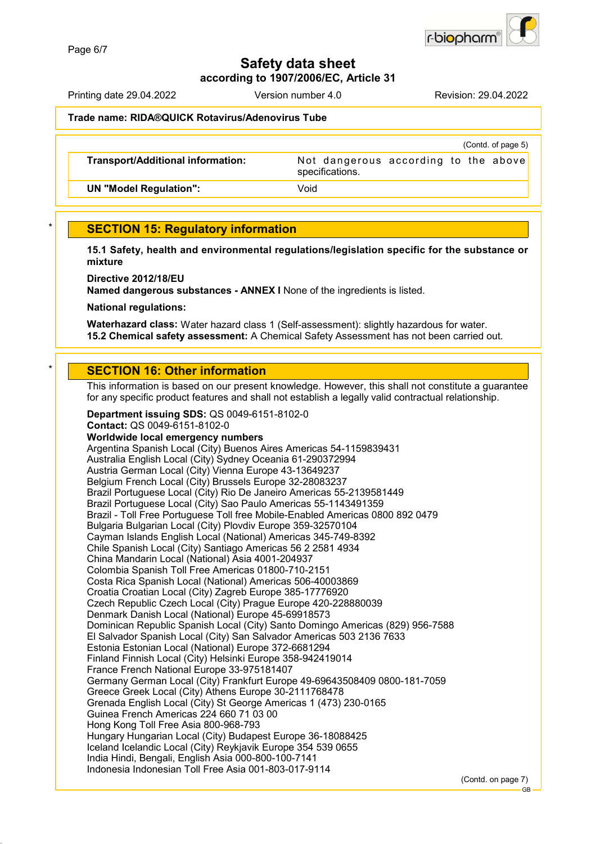

**according to 1907/2006/EC, Article 31**

Printing date 29.04.2022 Version number 4.0 Revision: 29.04.2022

#### **Trade name: RIDA®QUICK Rotavirus/Adenovirus Tube**

|                                          | (Contd. of page 5)                                      |
|------------------------------------------|---------------------------------------------------------|
| <b>Transport/Additional information:</b> | Not dangerous according to the above<br>specifications. |
| <b>UN "Model Regulation":</b>            | Void                                                    |

## **SECTION 15: Regulatory information**

**15.1 Safety, health and environmental regulations/legislation specific for the substance or mixture**

**Directive 2012/18/EU**

**Named dangerous substances - ANNEX I** None of the ingredients is listed.

**National regulations:**

**Waterhazard class:** Water hazard class 1 (Self-assessment): slightly hazardous for water. **15.2 Chemical safety assessment:** A Chemical Safety Assessment has not been carried out.

## **SECTION 16: Other information**

This information is based on our present knowledge. However, this shall not constitute a guarantee for any specific product features and shall not establish a legally valid contractual relationship.

**Department issuing SDS:** QS 0049-6151-8102-0 **Contact:** QS 0049-6151-8102-0 **Worldwide local emergency numbers** Argentina Spanish Local (City) Buenos Aires Americas 54-1159839431 Australia English Local (City) Sydney Oceania 61-290372994 Austria German Local (City) Vienna Europe 43-13649237 Belgium French Local (City) Brussels Europe 32-28083237 Brazil Portuguese Local (City) Rio De Janeiro Americas 55-2139581449 Brazil Portuguese Local (City) Sao Paulo Americas 55-1143491359 Brazil - Toll Free Portuguese Toll free Mobile-Enabled Americas 0800 892 0479 Bulgaria Bulgarian Local (City) Plovdiv Europe 359-32570104 Cayman Islands English Local (National) Americas 345-749-8392 Chile Spanish Local (City) Santiago Americas 56 2 2581 4934 China Mandarin Local (National) Asia 4001-204937 Colombia Spanish Toll Free Americas 01800-710-2151 Costa Rica Spanish Local (National) Americas 506-40003869 Croatia Croatian Local (City) Zagreb Europe 385-17776920 Czech Republic Czech Local (City) Prague Europe 420-228880039 Denmark Danish Local (National) Europe 45-69918573 Dominican Republic Spanish Local (City) Santo Domingo Americas (829) 956-7588 El Salvador Spanish Local (City) San Salvador Americas 503 2136 7633 Estonia Estonian Local (National) Europe 372-6681294 Finland Finnish Local (City) Helsinki Europe 358-942419014 France French National Europe 33-975181407 Germany German Local (City) Frankfurt Europe 49-69643508409 0800-181-7059 Greece Greek Local (City) Athens Europe 30-2111768478 Grenada English Local (City) St George Americas 1 (473) 230-0165 Guinea French Americas 224 660 71 03 00 Hong Kong Toll Free Asia 800-968-793 Hungary Hungarian Local (City) Budapest Europe 36-18088425 Iceland Icelandic Local (City) Reykjavik Europe 354 539 0655 India Hindi, Bengali, English Asia 000-800-100-7141 Indonesia Indonesian Toll Free Asia 001-803-017-9114

(Contd. on page 7)

GB